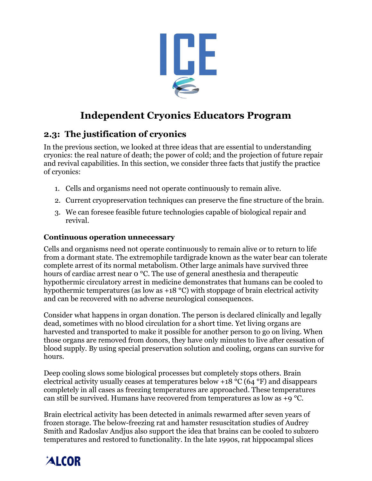

# **Independent Cryonics Educators Program**

## **2.3: The justification of cryonics**

In the previous section, we looked at three ideas that are essential to understanding cryonics: the real nature of death; the power of cold; and the projection of future repair and revival capabilities. In this section, we consider three facts that justify the practice of cryonics:

- 1. Cells and organisms need not operate continuously to remain alive.
- 2. Current cryopreservation techniques can preserve the fine structure of the brain.
- 3. We can foresee feasible future technologies capable of biological repair and revival.

#### **Continuous operation unnecessary**

Cells and organisms need not operate continuously to remain alive or to return to life from a dormant state. The extremophile tardigrade known as the water bear can tolerate complete arrest of its normal metabolism. Other large animals have survived three hours of cardiac arrest near 0 °C. The use of general anesthesia and therapeutic hypothermic circulatory arrest in medicine demonstrates that humans can be cooled to hypothermic temperatures (as low as +18 °C) with stoppage of brain electrical activity and can be recovered with no adverse neurological consequences.

Consider what happens in organ donation. The person is declared clinically and legally dead, sometimes with no blood circulation for a short time. Yet living organs are harvested and transported to make it possible for another person to go on living. When those organs are removed from donors, they have only minutes to live after cessation of blood supply. By using special preservation solution and cooling, organs can survive for hours.

Deep cooling slows some biological processes but completely stops others. Brain electrical activity usually ceases at temperatures below +18 °C (64 °F) and disappears completely in all cases as freezing temperatures are approached. These temperatures can still be survived. Humans have recovered from temperatures as low as +9 °C.

Brain electrical activity has been detected in animals rewarmed after seven years of frozen storage. The below-freezing rat and hamster resuscitation studies of Audrey Smith and Radoslav Andjus also support the idea that brains can be cooled to subzero temperatures and restored to functionality. In the late 1990s, rat hippocampal slices

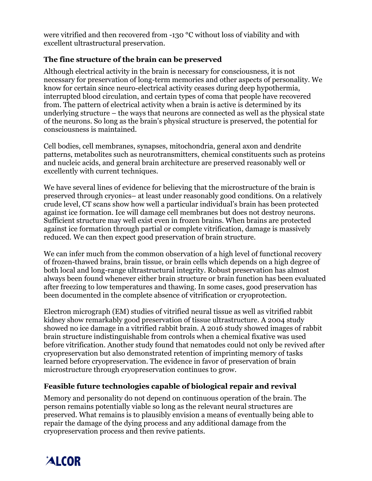were vitrified and then recovered from -130 °C without loss of viability and with excellent ultrastructural preservation.

#### **The fine structure of the brain can be preserved**

Although electrical activity in the brain is necessary for consciousness, it is not necessary for preservation of long-term memories and other aspects of personality. We know for certain since neuro-electrical activity ceases during deep hypothermia, interrupted blood circulation, and certain types of coma that people have recovered from. The pattern of electrical activity when a brain is active is determined by its underlying structure – the ways that neurons are connected as well as the physical state of the neurons. So long as the brain's physical structure is preserved, the potential for consciousness is maintained.

Cell bodies, cell membranes, synapses, mitochondria, general axon and dendrite patterns, metabolites such as neurotransmitters, chemical constituents such as proteins and nucleic acids, and general brain architecture are preserved reasonably well or excellently with current techniques.

We have several lines of evidence for believing that the microstructure of the brain is preserved through cryonics– at least under reasonably good conditions. On a relatively crude level, CT scans show how well a particular individual's brain has been protected against ice formation. Ice will damage cell membranes but does not destroy neurons. Sufficient structure may well exist even in frozen brains. When brains are protected against ice formation through partial or complete vitrification, damage is massively reduced. We can then expect good preservation of brain structure.

We can infer much from the common observation of a high level of functional recovery of frozen-thawed brains, brain tissue, or brain cells which depends on a high degree of both local and long-range ultrastructural integrity. Robust preservation has almost always been found whenever either brain structure or brain function has been evaluated after freezing to low temperatures and thawing. In some cases, good preservation has been documented in the complete absence of vitrification or cryoprotection.

Electron micrograph (EM) studies of vitrified neural tissue as well as vitrified rabbit kidney show remarkably good preservation of tissue ultrastructure. A 2004 study showed no ice damage in a vitrified rabbit brain. A 2016 study showed images of rabbit brain structure indistinguishable from controls when a chemical fixative was used before vitrification. Another study found that nematodes could not only be revived after cryopreservation but also demonstrated retention of imprinting memory of tasks learned before cryopreservation. The evidence in favor of preservation of brain microstructure through cryopreservation continues to grow.

#### **Feasible future technologies capable of biological repair and revival**

Memory and personality do not depend on continuous operation of the brain. The person remains potentially viable so long as the relevant neural structures are preserved. What remains is to plausibly envision a means of eventually being able to repair the damage of the dying process and any additional damage from the cryopreservation process and then revive patients.

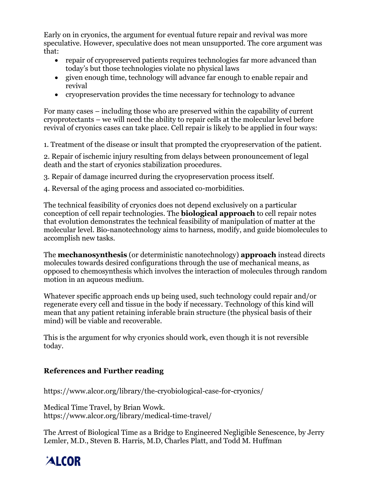Early on in cryonics, the argument for eventual future repair and revival was more speculative. However, speculative does not mean unsupported. The core argument was that:

- repair of cryopreserved patients requires technologies far more advanced than today's but those technologies violate no physical laws
- given enough time, technology will advance far enough to enable repair and revival
- cryopreservation provides the time necessary for technology to advance

For many cases – including those who are preserved within the capability of current cryoprotectants – we will need the ability to repair cells at the molecular level before revival of cryonics cases can take place. Cell repair is likely to be applied in four ways:

1. Treatment of the disease or insult that prompted the cryopreservation of the patient.

2. Repair of ischemic injury resulting from delays between pronouncement of legal death and the start of cryonics stabilization procedures.

3. Repair of damage incurred during the cryopreservation process itself.

4. Reversal of the aging process and associated co-morbidities.

The technical feasibility of cryonics does not depend exclusively on a particular conception of cell repair technologies. The **biological approach** to cell repair notes that evolution demonstrates the technical feasibility of manipulation of matter at the molecular level. Bio-nanotechnology aims to harness, modify, and guide biomolecules to accomplish new tasks.

The **mechanosynthesis** (or deterministic nanotechnology) **approach** instead directs molecules towards desired configurations through the use of mechanical means, as opposed to chemosynthesis which involves the interaction of molecules through random motion in an aqueous medium.

Whatever specific approach ends up being used, such technology could repair and/or regenerate every cell and tissue in the body if necessary. Technology of this kind will mean that any patient retaining inferable brain structure (the physical basis of their mind) will be viable and recoverable.

This is the argument for why cryonics should work, even though it is not reversible today.

### **References and Further reading**

https://www.alcor.org/library/the-cryobiological-case-for-cryonics/

Medical Time Travel, by Brian Wowk. https://www.alcor.org/library/medical-time-travel/

The Arrest of Biological Time as a Bridge to Engineered Negligible Senescence, by Jerry Lemler, M.D., Steven B. Harris, M.D, Charles Platt, and Todd M. Huffman